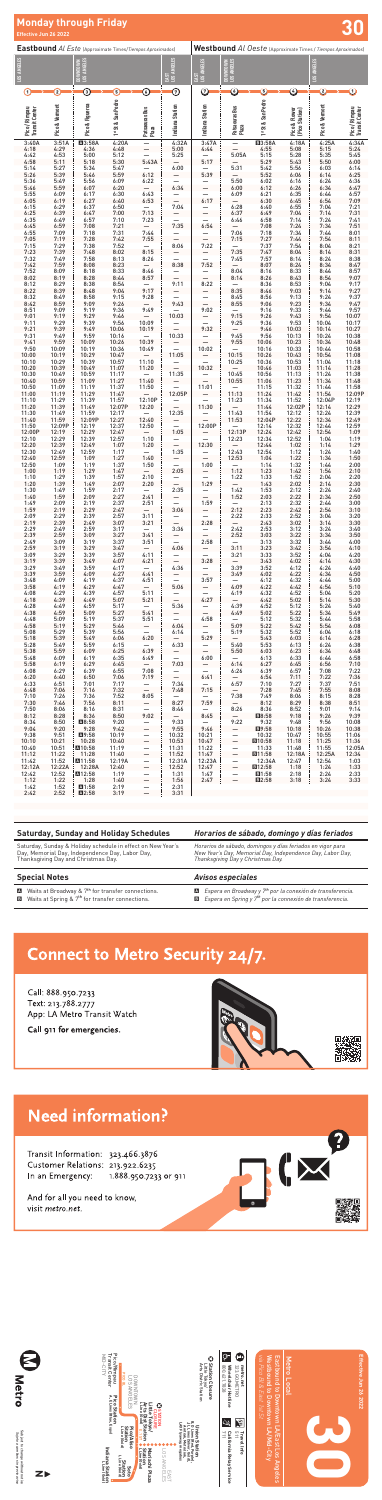**30**

*via Pico Bl & East 1st St*

 $\bullet$ 

Metro Local<br>Eastbound to Downtown LA/East Los Angeles<br>Westbound to Downtown LA/Mid-City<br>via Pico Bl & East 1st St Westbound to Downtown LA/Mid-City Eastbound to Downtown LA/East Los Angeles

# Metro Local

Subject to change without notice<br>*Sujeto a cambios sin previo aviso* Subject to change without notice *Sujeto a cambios sin previo aviso*





| <b>Saturday, Sunday and Holiday Schedules</b>                                                                                                         | Horarios de sábado, domingo y días feriados                                                                                                                   |                                                                                                                                                 |  |  |  |  |
|-------------------------------------------------------------------------------------------------------------------------------------------------------|---------------------------------------------------------------------------------------------------------------------------------------------------------------|-------------------------------------------------------------------------------------------------------------------------------------------------|--|--|--|--|
| Saturday, Sunday & Holiday schedule in effect on New Year's<br>Day, Memorial Day, Independence Day, Labor Day,<br>Thanksgiving Day and Christmas Day. | Horarios de sábado, domingos y días feriados en vigor para<br>New Year's Day, Memorial Day, Independence Day, Labor Day,<br>Thanksgiving Day y Christmas Day. |                                                                                                                                                 |  |  |  |  |
| <b>Special Notes</b>                                                                                                                                  |                                                                                                                                                               | <b>Avisos especiales</b>                                                                                                                        |  |  |  |  |
| Maits at Broadway & 7 <sup>th</sup> for transfer connections.<br><b>El</b> Waits at Spring & 7 <sup>th</sup> for transfer connections.                |                                                                                                                                                               | <b>En</b> Espera en Broadway y $7th$ por la conexión de transferencia.<br><b>El</b> Espera en Spring y $7th$ por la connexión de transferencia. |  |  |  |  |

## **Connect to Metro Security 24/7.**

Call: 888.950.7233 Text: 213.788.2777 App: LA Metro Transit Watch

Call 911 for emergencies.



### **Need information?**

Transit Information: 323.466.3876 Customer Relations: 213.922.6235 In an Emergency: 1.888.950.7233 or 911

And for all you need to know, visit metro.net.





| <b>Eastbound</b> Al Este (Approximate Times/Tiempos Aproximados) |                 |                             |                    |                                                                     |                                      | Westbound Al Oeste (Approximate Times / Tiempos Aproximados) |                                         |                      |                                 |                    |                                 |  |
|------------------------------------------------------------------|-----------------|-----------------------------|--------------------|---------------------------------------------------------------------|--------------------------------------|--------------------------------------------------------------|-----------------------------------------|----------------------|---------------------------------|--------------------|---------------------------------|--|
| LOS ANGELES                                                      |                 | LOS ANGELES<br><b>INNOL</b> |                    |                                                                     | LOS ANGELES                          | EAST<br>LOS ANGELES                                          | .0S ANGELES<br>DOWNTOWN<br>LOS ANGELES  |                      |                                 |                    |                                 |  |
|                                                                  |                 | $\mathsf{M}$                |                    |                                                                     | EAST                                 |                                                              |                                         |                      |                                 |                    |                                 |  |
| $\left( 1\right)$                                                | $\Omega$        | $\bm{\mathsf{\Omega}}$      | $\left( 5\right)$  | ⑥                                                                   | $\odot$                              | $\odot$                                                      | $\copyright$                            | O                    | ⓒ                               | $\bm{\mathcal{O}}$ | O                               |  |
|                                                                  |                 |                             | 1st St & San Pedro |                                                                     |                                      |                                                              |                                         | 1st St & San Pedro   |                                 |                    |                                 |  |
| Pico / Rimpau<br>Transit Center                                  | Pico & Vermont  | Pico & Figueroa             |                    | Patsaouras Bus<br>Plaza                                             | Indiana Station                      | Indiana Station                                              | Patsaouras Bus<br>Plaza                 |                      | Pico & Flower<br>(Pico Station) | Pico & Vermont     | Pico / Rimpau<br>Transit Center |  |
| 3:40A                                                            | 3:51A           | <b>A3:58A</b>               | 4:20A              |                                                                     | 4:32A                                | 3:47A                                                        |                                         | <b>E3:58A</b>        | 4:18A                           | 4:25A              | 4:34A                           |  |
| 4:18<br>4:42                                                     | 4:29<br>4:53    | 4:36<br>5:00                | 4:48<br>5:12       |                                                                     | 5:00<br>5:25                         | 4:44                                                         | 5:05A                                   | 4:55<br>5:15         | 5:08<br>5:28                    | 5:15<br>5:35       | 5:24<br>5:45                    |  |
| 4:58<br>5:14                                                     | 5:11<br>5:27    | 5:18<br>5:34                | 5:30<br>5:47       | 5:43A                                                               | 6:00                                 | 5:17                                                         | 5:31                                    | 5:29<br>5:42         | 5:43<br>5:56                    | 5:50<br>6:03       | 6:00<br>6:14                    |  |
| 5:26<br>5:36                                                     | 5:39<br>5:49    | 5:46<br>5:56                | 5:59<br>6:09       | 6:12<br>6:22                                                        |                                      | 5:39                                                         | 5:50                                    | 5:52<br>6:02         | 6:06<br>6:16                    | 6:14<br>6:24       | 6:25<br>6:36                    |  |
| 5:46<br>5:55                                                     | 5:59<br>6:09    | 6:07<br>6:17                | 6:20<br>6:30       | 6:43                                                                | 6:34                                 |                                                              | 6:00<br>6:09                            | 6:12<br>6:21         | 6:26<br>6:35                    | 6:34<br>6:44       | 6:47<br>6:57                    |  |
| 6:05<br>6:15                                                     | 6:19<br>6:29    | 6:27<br>6:37                | 6:40<br>6:50       | 6:53                                                                | 7:04                                 | 6:17                                                         | 6:28                                    | 6:30<br>6:40         | 6:45<br>6:55                    | 6:54<br>7:04       | 7:09<br>7:21                    |  |
| 6:25<br>6:35                                                     | 6:39<br>6:49    | 6:47<br>6:57                | 7:00<br>7:10       | 7:13<br>7:23                                                        |                                      |                                                              | 6:37<br>6:46                            | 6:49<br>6:58         | 7:04<br>7:14                    | 7:14<br>7:24       | 7:31<br>7:41                    |  |
| 6:45                                                             | 6:59            | 7:08                        | 7:21               |                                                                     | 7:35                                 | 6:54                                                         |                                         | 7:08                 | 7:24                            | 7:34               | 7:51                            |  |
| 6:55<br>7:05                                                     | 7:09<br>7:19    | 7:18<br>7:28                | 7:31<br>7:42       | 7:44<br>7:55                                                        |                                      |                                                              | 7:06<br>7:15                            | 7:18<br>7:27         | 7:34<br>7:44                    | 7:44<br>7:54       | 8:01<br>8:11                    |  |
| 7:15<br>7:23                                                     | 7:29<br>7:39    | 7:38<br>7:48                | 7:52<br>8:02       | 8:15                                                                | 8:06                                 | 7:22                                                         | 7:35                                    | 7:37<br>7:47         | 7:54<br>8:04                    | 8:04<br>8:14       | 8:21<br>8:31                    |  |
| 7:32<br>7:42                                                     | 7:49<br>7:59    | 7:58<br>8:08                | 8:13<br>8:23       | 8:26                                                                | 8:38                                 | 7:52                                                         | 7:45                                    | 7:57<br>8:07         | 8:14<br>8:24                    | 8:24<br>8:34       | 8:38<br>8:47                    |  |
| 7:52<br>8:02                                                     | 8:09<br>8:19    | 8:18<br>8:28                | 8:33<br>8:44       | 8:46<br>8:57                                                        |                                      |                                                              | 8:04<br>8:14                            | 8:16<br>8:26         | 8:33<br>8:43                    | 8:44<br>8:54       | 8:57<br>9:07                    |  |
| 8:12<br>8:22                                                     | 8:29<br>8:39    | 8:38<br>8:48                | 8:54<br>9:04       | 9:17                                                                | 9:11                                 | 8:22                                                         | 8:35                                    | 8:36<br>8:46         | 8:53<br>9:03                    | 9:04<br>9:14       | 9:17<br>9:27                    |  |
| 8:32<br>8:42                                                     | 8:49<br>8:59    | 8:58<br>9:09                | 9:15<br>9:26       | 9:28                                                                | 9:43                                 |                                                              | 8:45<br>8:55                            | 8:56<br>9:06         | 9:13<br>9:23                    | 9:24<br>9:34       | 9:37<br>9:47                    |  |
| 8:51<br>9:01                                                     | 9:09<br>9:19    | 9:19<br>9:29                | 9:36<br>9:46       | 9:49                                                                | 10:03                                | 9:02                                                         | 9:15                                    | 9:16<br>9:26         | 9:33<br>9:43                    | 9:44<br>9:54       | 9:57<br>10:07                   |  |
| 9:11<br>9:21                                                     | 9:29<br>9:39    | 9:39<br>9:49                | 9:56<br>10:06      | 10:09<br>10:19                                                      |                                      | 9:32                                                         | 9:25                                    | 9:36<br>9:46         | 9:53<br>10:03                   | 10:04<br>10:14     | 10:17<br>10:27                  |  |
| 9:31<br>9:41                                                     | 9:49<br>9:59    | 9:59<br>10:09               | 10:16<br>10:26     | 10:39                                                               | 10:33                                |                                                              | 9:45<br>9:55                            | 9:56<br>10:06        | 10:13<br>10:23                  | 10:24<br>10:34     | 10:38<br>10:48                  |  |
| 9:50<br>10:00                                                    | 10:09<br>10:19  | 10:19<br>10:29              | 10:36<br>10:47     | 10:49                                                               | 11:05                                | 10:02                                                        | 10:15                                   | 10:16<br>10:26       | 10:33<br>10:43                  | 10:44<br>10:54     | 10:58<br>11:08                  |  |
| 10:10<br>10:20                                                   | 10:29<br>10:39  | 10:39<br>10:49              | 10:57<br>11:07     | 11:10<br>11:20                                                      |                                      | 10:32                                                        | 10:25                                   | 10:36<br>10:46       | 10:53<br>11:03                  | 11:04<br>11:14     | 11:18<br>11:28                  |  |
| 10:30<br>10:40                                                   | 10:49<br>10:59  | 10:59<br>11:09              | 11:17<br>11:27     | 11:40                                                               | 11:35                                |                                                              | 10:45<br>10:55                          | 10:56<br>11:06       | 11:13<br>11:23                  | 11:24<br>11:34     | 11:38<br>11:48                  |  |
| 10:50<br>11:00                                                   | 11:09           | 11:19<br>11:29              | 11:37<br>11:47     | 11:50<br>$\overline{\phantom{a}}$                                   |                                      | 11:01                                                        |                                         | 11:15<br>11:24       | 11:32                           | 11:44<br>11:54     | 11:58<br>12:09P                 |  |
| 11:10                                                            | 11:19<br>11:29  | 11:39                       | 11:57              | 12:10P                                                              | 12:05P<br>$\equiv$                   | $\equiv$                                                     | 11:13<br>11:23                          | 11:34                | 11:42<br>11:52                  | 12:04P             | 12:19                           |  |
| 11:20<br>11:30                                                   | 11:39<br>11:49  | 11:49<br>11:59              | 12:07P<br>12:17    | 12:20<br>$\mathcal{L}_{\mathcal{A}}$                                | 12:35                                | 11:30<br>$\equiv$                                            | $\frac{1}{2}$<br>11:43                  | 11:44<br>11:54       | 12:02P<br>12:12                 | 12:14<br>12:24     | 12:29<br>12:39                  |  |
| 11:40<br>11:50                                                   | 11:59<br>12:09P | 12:09P<br>12:19             | 12:27<br>12:37     | 12:40<br>12:50                                                      | $\equiv$                             | 12:00P                                                       | 11:53<br>$\sim$                         | 12:04P<br>12:14      | 12:22<br>12:32                  | 12:34<br>12:44     | 12:49<br>12:59                  |  |
| 12:00P<br>12:10                                                  | 12:19<br>12:29  | 12:29<br>12:39              | 12:47<br>12:57     | $\mathcal{L}^{\mathcal{L}}$ and $\mathcal{L}^{\mathcal{L}}$<br>1:10 | 1:05<br>$ \,$                        | $\equiv$                                                     | 12:13P<br>12:23                         | 12:24<br>12:34       | 12:42<br>12:52                  | 12:54<br>1:04      | 1:09<br>1:19                    |  |
| 12:20<br>12:30                                                   | 12:39<br>12:49  | 12:49<br>12:59              | 1:07<br>1:17       | 1:20<br>$ \,$                                                       | $\equiv$<br>1:35                     | 12:30<br>$\equiv$                                            | $\frac{-}{12:43}$                       | 12:44<br>12:54       | 1:02<br>1:12                    | 1:14<br>1:24       | 1:29<br>1:40                    |  |
| 12:40<br>12:50                                                   | 12:59<br>1:09   | 1:09<br>1:19                | 1:27<br>1:37       | 1:40<br>1:50                                                        | $\overline{\phantom{0}}$<br>$\equiv$ | 1:00                                                         | 12:53<br>$\equiv$                       | 1:04<br>1:14         | 1:22<br>1:32                    | 1:34<br>1:44       | 1:50<br>2:00                    |  |
| 1:00<br>1:10                                                     | 1:19<br>1:29    | 1:29<br>1:39                | 1:47<br>1:57       | $\overline{\phantom{a}}$<br>2:10                                    | 2:05                                 | $\equiv$                                                     | 1:12<br>1:22                            | 1:23<br>1:33         | 1:42<br>1:52                    | 1:54<br>2:04       | 2:10<br>2:20                    |  |
| 1:20<br>1:30                                                     | 1:39<br>1:49    | 1:49<br>1:59                | 2:07<br>2:17       | 2:20<br>$-$ .                                                       | $\equiv$<br>2:35                     | 1:29                                                         | $\frac{1}{2}$ and $\frac{1}{2}$<br>1:42 | 1:43<br>1:53         | 2:02<br>2:12                    | 2:14<br>2:24       | 2:30<br>2:40                    |  |
| 1:40<br>1:49                                                     | 1:59<br>2:09    | 2:09<br>2:19                | 2:27<br>2:37       | 2:41<br>2:51                                                        | $\frac{1}{2}$                        | $\equiv$<br>1:59                                             | 1:52<br>$\overline{\phantom{0}}$        | 2:03<br>2:13         | 2:22<br>2:32                    | 2:34<br>2:44       | 2:50<br>3:00                    |  |
| 1:59<br>2:09                                                     | 2:19<br>2:29    | 2:29<br>2:39                | 2:47<br>2:57       | $\frac{1}{2}$<br>3:11                                               | 3:06                                 | $-$<br>F                                                     | 2:12<br>2:22                            | 2:23<br>2:33         | 2:42<br>2:52                    | 2:54<br>3:04       | 3:10<br>3:20                    |  |
| 2:19<br>2:29                                                     | 2:39<br>2:49    | 2:49<br>2:59                | 3:07<br>3:17       | 3:21<br>$\overline{\phantom{m}}$                                    | $\equiv$<br>3:36                     | 2:28                                                         | $\frac{-}{2:42}$                        | 2:43<br>2:53         | 3:02<br>3:12                    | 3:14<br>3:24       | 3:30<br>3:40                    |  |
| 2:39<br>2:49                                                     | 2:59<br>3:09    | 3:09<br>3:19                | 3:27<br>3:37       | 3:41<br>3:51                                                        | $\equiv$                             | $\equiv$<br>2:58                                             | 2:52<br>$\overline{\phantom{0}}$        | 3:03<br>3:13         | 3:22<br>3:32                    | 3:34<br>3:44       | 3:50<br>4:00                    |  |
| 2:59<br>3:09                                                     | 3:19<br>3:29    | 3:29<br>3:39                | 3:47<br>3:57       | $\frac{1}{2}$<br>4:11                                               | 4:06                                 | $-$<br>$\overline{\phantom{0}}$                              | 3:11<br>3:21                            | 3:23<br>3:33         | 3:42<br>3:52                    | 3:54<br>4:04       | 4:10<br>4:20                    |  |
| 3:19<br>3:29                                                     | 3:39<br>3:49    | 3:49<br>3:59                | 4:07<br>4:17       | 4:21<br>$\overline{\phantom{0}}$                                    | $\equiv$<br>4:36                     | 3:28                                                         | $\frac{1}{2}$ and $\frac{1}{2}$<br>3:39 | 3:43<br>3:52         | 4:02<br>4:12                    | 4:14<br>4:24       | 4:30<br>4:40                    |  |
| 3:39<br>3:48                                                     | 3:59<br>4:09    | 4:09<br>4:19                | 4:27<br>4:37       | 4:41<br>4:51                                                        | $\equiv$                             | $\equiv$<br>3:57                                             | 3:49<br>$\overline{\phantom{0}}$        | 4:02<br>4:12         | 4:22<br>4:32                    | 4:34<br>4:44       | 4:50<br>5:00                    |  |
| 3:58<br>4:08                                                     | 4:19<br>4:29    | 4:29<br>4:39                | 4:47<br>4:57       | $\sim -1$<br>5:11                                                   | 5:06<br>$\overline{\phantom{0}}$     | $\equiv$ .<br>$\overline{\phantom{0}}$                       | 4:09<br>4:19                            | 4:22<br>4:32         | 4:42<br>4:52                    | 4:54<br>5:04       | 5:10<br>5:20                    |  |
| 4:18<br>4:28                                                     | 4:39<br>4:49    | 4:49<br>4:59                | 5:07<br>5:17       | 5:21<br>$ \,$                                                       | 5:36                                 | 4:27                                                         | $\equiv$ .<br>4:39                      | 4:42<br>4:52         | 5:02<br>5:12                    | 5:14<br>5:24       | 5:30<br>5:40                    |  |
| 4:38                                                             | 4:59            | 5:09<br>5:19                | 5:27<br>5:37       | 5:41<br>5:51                                                        | $\frac{1}{2}$<br>$\equiv$            | $\equiv$<br>4:58                                             | 4:49<br>$\equiv$                        | 5:02<br>5:12         | 5:22<br>5:32                    | 5:34               | 5:49<br>5:58                    |  |
| 4:48<br>4:58                                                     | 5:09<br>5:19    | 5:29                        | 5:46               | $\overline{\phantom{0}}$<br>$\equiv$                                | 6:04                                 | $-$<br>$\equiv$                                              | 5:09                                    | 5:22                 | 5:42                            | 5:44<br>5:54       | 6:08                            |  |
| 5:08<br>5:18                                                     | 5:29<br>5:39    | 5:39<br>5:49                | 5:56<br>6:06       | 6:20                                                                | 6:14<br>$\overline{\phantom{0}}$     | 5:29                                                         | 5:19<br>$\frac{1}{2}$                   | 5:32<br>5:43         | 5:52<br>6:03                    | 6:04<br>6:14       | 6:18<br>6:28                    |  |
| 5:28<br>5:38                                                     | 5:49<br>5:59    | 5:59<br>6:09                | 6:15<br>6:25       | $ \,$<br>6:39                                                       | 6:33<br>$\frac{1}{2}$                | $\equiv$                                                     | 5:40<br>5:50                            | 5:53<br>6:03         | 6:13<br>6:23                    | 6:24<br>6:34       | 6:38<br>6:48                    |  |
| 5:48<br>5:58                                                     | 6:09<br>6:19    | 6:19<br>6:29                | 6:35<br>6:45       | 6:49<br>$\equiv$                                                    | 7:03                                 | 6:00<br>$\frac{1}{2}$                                        | $\overline{\phantom{0}}$<br>6:14        | 6:13<br>6:27         | 6:33<br>6:45                    | 6:44<br>6:56       | 6:58<br>7:10                    |  |
| 6:08<br>6:20                                                     | 6:29<br>6:40    | 6:39<br>6:50                | 6:55<br>7:06       | 7:08<br>7:19                                                        | $\equiv$                             | $ \,$<br>6:41                                                | 6:26<br>$\overline{\phantom{0}}$        | 6:39<br>6:54         | 6:57<br>7:11                    | 7:08<br>7:22       | 7:22<br>7:36                    |  |
| 6:33<br>6:48                                                     | 6:51<br>7:06    | 7:01<br>7:16                | 7:17<br>7:32       | $\overline{\phantom{0}}$<br>$\equiv$                                | 7:34<br>7:48                         | 7:15                                                         | 6:57<br>$ \,$                           | 7:10<br>7:28         | 7:27<br>7:45                    | 7:37<br>7:55       | 7:51<br>8:08                    |  |
| 7:10<br>7:30                                                     | 7:26<br>7:46    | 7:36<br>7:56                | 7:52<br>8:11       | 8:05<br>$\overline{\phantom{m}}$                                    | $\overline{\phantom{0}}$<br>8:27     | 7:59                                                         | 7:38<br>$\overline{\phantom{0}}$        | 7:49<br>8:12         | 8:06<br>8:29                    | 8:15<br>8:38       | 8:28<br>8:51                    |  |
| 7:50<br>8:12                                                     | 8:06<br>8:28    | 8:16<br>8:36                | 8:31<br>8:50       | $\equiv$<br>9:02                                                    | 8:46<br>$-$                          | $\overline{\phantom{0}}$<br>8:45                             | 8:26<br>$-$                             | 8:36<br><b>E8:58</b> | 8:52<br>9:18                    | 9:01<br>9:26       | 9:14<br>9:39                    |  |
| 8:34<br>9:04                                                     | 8:50<br>9:20    | A8:58<br>9:28               | 9:20<br>9:42       |                                                                     | 9:33<br>9:55                         | $\qquad \qquad -$<br>9:46                                    | 9:22<br>—                               | 9:32<br>99:58        | 9:48<br>10:18                   | 9:56<br>10:26      | 10:08<br>10:38                  |  |
| 9:38<br>10:10                                                    | 9:51<br>10:21   | A9:58<br>10:28              | 10:19<br>10:40     | $\equiv$                                                            | 10:32<br>10:53                       | 10:21<br>10:47                                               |                                         | 10:32<br>■10:58      | 10:47<br>11:18                  | 10:55<br>11:25     | 11:06<br>11:36                  |  |
| 10:40<br>11:12                                                   | 10:51<br>11:22  | A10:58<br>11:28             | 11:19<br>11:40     | —<br>$\equiv$                                                       | 11:31<br>11:52                       | 11:22<br>11:47                                               | $\qquad \qquad -$                       | 11:33<br>图11:58      | 11:48<br>12:18A                 | 11:55<br>12:25A    | 12:05A<br>12:34                 |  |
| 11:42<br>12:12A                                                  | 11:52<br>12:22A | A11:58<br>12:28A            | 12:19A<br>12:40    | —<br>$\overline{\phantom{0}}$                                       | 12:31A<br>12:52                      | 12:23A<br>12:47                                              | $\overline{\phantom{0}}$                | 12:34A<br>■12:58     | 12:47<br>1:18                   | 12:54<br>1:24      | 1:03<br>1:33                    |  |
| 12:42<br>1:12                                                    | 12:52<br>1:22   | A12:58<br>1:28              | 1:19<br>1:40       | $\overline{\phantom{0}}$                                            | 1:31<br>1:56                         | 1:47<br>2:47                                                 |                                         | ■1:58<br>B2:58       | 2:18<br>3:18                    | 2:24<br>3:24       | 2:33<br>3:33                    |  |
| 1:42<br>2:42                                                     | 1:52<br>2:52    | A1:58<br>A2:58              | 2:19<br>3:19       | $\equiv$                                                            | 2:31<br>3:31                         |                                                              |                                         |                      |                                 |                    |                                 |  |

# **Monday through Friday Effective Jun 26 2022 30**